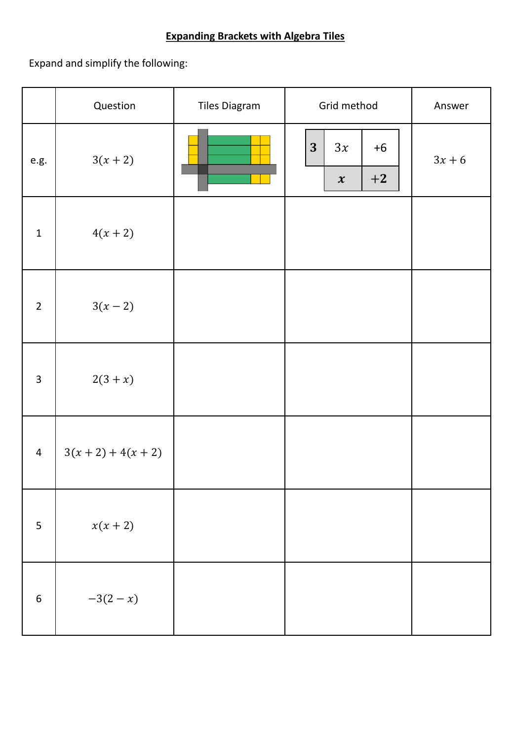## **Expanding Brackets with Algebra Tiles**

Expand and simplify the following:

|                  | Question              | <b>Tiles Diagram</b> | Grid method                             | Answer   |
|------------------|-----------------------|----------------------|-----------------------------------------|----------|
| $\rm e.g.$       | $3(x + 2)$            |                      | 3<br>3x<br>$+6$<br>$+2$<br>$\pmb{\chi}$ | $3x + 6$ |
| $\mathbf 1$      | $4(x + 2)$            |                      |                                         |          |
| $\overline{2}$   | $3(x - 2)$            |                      |                                         |          |
| $\overline{3}$   | $2(3 + x)$            |                      |                                         |          |
| $\overline{4}$   | $3(x + 2) + 4(x + 2)$ |                      |                                         |          |
| 5                | $x(x+2)$              |                      |                                         |          |
| $\boldsymbol{6}$ | $-3(2-x)$             |                      |                                         |          |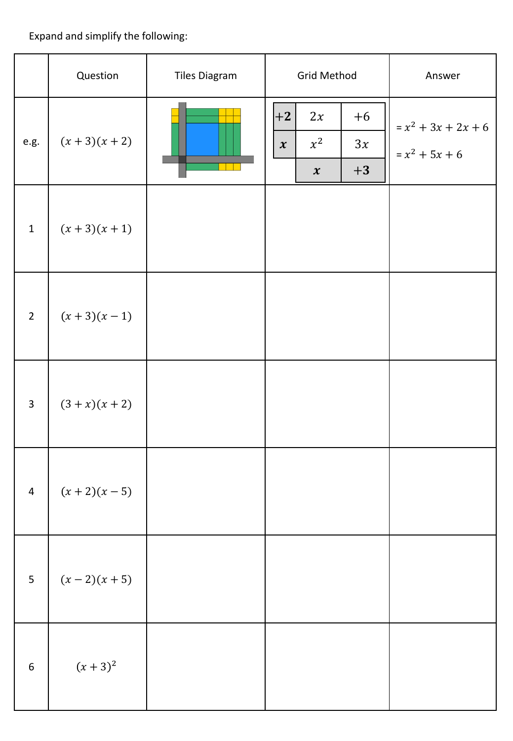Expand and simplify the following:

|                  | Question         | <b>Tiles Diagram</b> | <b>Grid Method</b>                                                                             | Answer                                    |
|------------------|------------------|----------------------|------------------------------------------------------------------------------------------------|-------------------------------------------|
| e.g.             | $(x + 3)(x + 2)$ |                      | $+2$<br>2x<br>$+6$<br>$x^2$<br>3x<br>$\boldsymbol{\mathcal{X}}$<br>$+3$<br>$\pmb{\mathcal{X}}$ | $= x^2 + 3x + 2x + 6$<br>$= x^2 + 5x + 6$ |
| $\mathbf{1}$     | $(x + 3)(x + 1)$ |                      |                                                                                                |                                           |
| $2^{\circ}$      | $(x+3)(x-1)$     |                      |                                                                                                |                                           |
| $\mathbf{3}$     | $(3 + x)(x + 2)$ |                      |                                                                                                |                                           |
| $\overline{4}$   | $(x + 2)(x - 5)$ |                      |                                                                                                |                                           |
| $\overline{5}$   | $(x - 2)(x + 5)$ |                      |                                                                                                |                                           |
| $\boldsymbol{6}$ | $(x + 3)^2$      |                      |                                                                                                |                                           |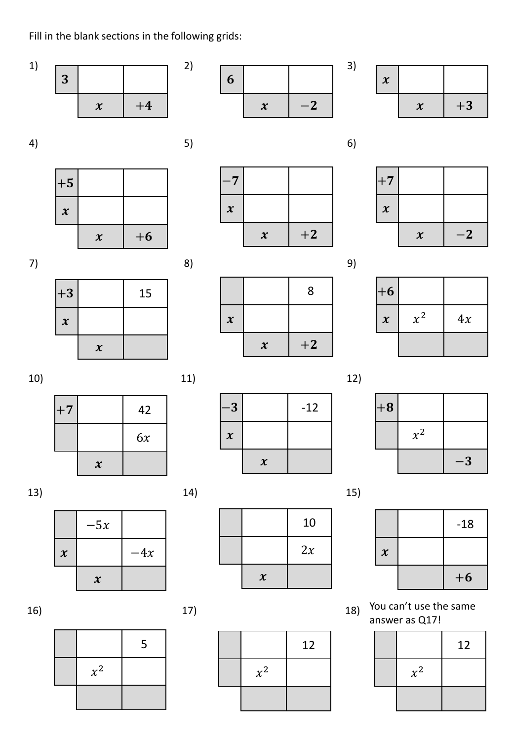Fill in the blank sections in the following grids:







 $\boldsymbol{\chi}$ 



 $x \mid +2$ 













|                     | $-18$ |
|---------------------|-------|
| $\boldsymbol{\chi}$ |       |
|                     | $+6$  |

You can't use the same answer as Q17!

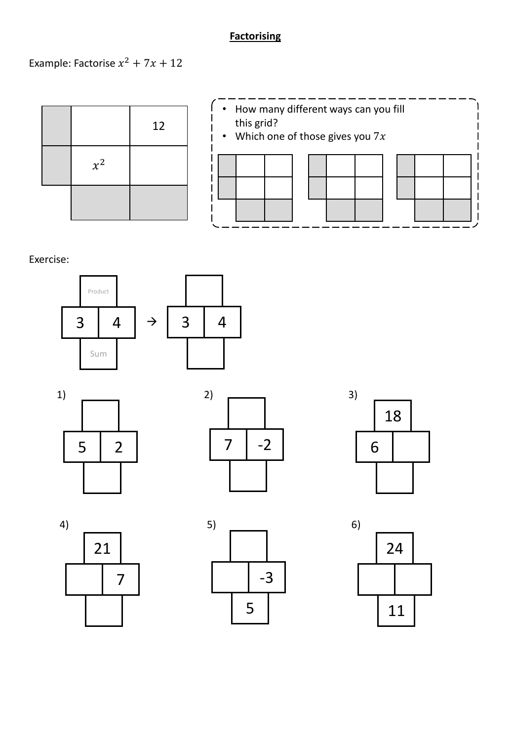## **Factorising**

Example: Factorise  $x^2 + 7x + 12$ 





Exercise: